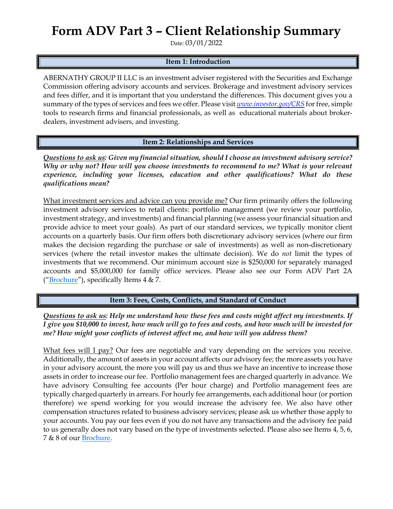## **Form ADV Part 3 – Client Relationship Summary**

Date: 03/01/2022

## **Item 1: Introduction**

ABERNATHY GROUP II LLC is an investment adviser registered with the Securities and Exchange Commission offering advisory accounts and services. Brokerage and investment advisory services and fees differ, and it is important that you understand the differences. This document gives you a summary of the types of services and fees we offer. Please visit *[www.investor.gov/CRS](http://www.investor.gov/CRS)* for free, simple tools to research firms and financial professionals, as well as educational materials about brokerdealers, investment advisers, and investing.

**Item 2: Relationships and Services**

*Questions to ask us: Given my financial situation, should I choose an investment advisory service? Why or why not? How will you choose investments to recommend to me? What is your relevant experience, including your licenses, education and other qualifications? What do these qualifications mean?*

What investment services and advice can you provide me? Our firm primarily offers the following investment advisory services to retail clients: portfolio management (we review your portfolio, investment strategy, and investments) and financial planning (we assess your financial situation and provide advice to meet your goals). As part of our standard services, we typically monitor client accounts on a quarterly basis. Our firm offers both discretionary advisory services (where our firm makes the decision regarding the purchase or sale of investments) as well as non-discretionary services (where the retail investor makes the ultimate decision). We do *not* limit the types of investments that we recommend. Our minimum account size is \$250,000 for separately managed accounts and \$5,000,000 for family office services. Please also see our Form ADV Part 2A (["Brochure"](https://adviserinfo.sec.gov/firm/summary/152401)), specifically Items  $4 \& 7$ .

**Item 3: Fees, Costs, Conflicts, and Standard of Conduct** 

*Questions to ask us: Help me understand how these fees and costs might affect my investments. If I give you \$10,000 to invest, how much will go to fees and costs, and how much will be invested for me? How might your conflicts of interest affect me, and how will you address them?* 

What fees will I pay? Our fees are negotiable and vary depending on the services you receive. Additionally, the amount of assets in your account affects our advisory fee; the more assets you have in your advisory account, the more you will pay us and thus we have an incentive to increase those assets in order to increase our fee. Portfolio management fees are charged quarterly in advance. We have advisory Consulting fee accounts (Per hour charge) and Portfolio management fees are typically charged quarterly in arrears. For hourly fee arrangements, each additional hour (or portion therefore) we spend working for you would increase the advisory fee. We also have other compensation structures related to business advisory services; please ask us whether those apply to your accounts. You pay our fees even if you do not have any transactions and the advisory fee paid to us generally does not vary based on the type of investments selected. Please also see Items 4, 5, 6, 7 & 8 of our [Brochure.](https://adviserinfo.sec.gov/firm/summary/152401)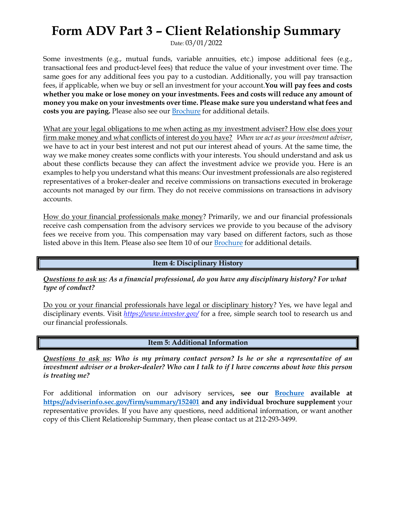## **Form ADV Part 3 – Client Relationship Summary**

Date: 03/01/2022

Some investments (e.g., mutual funds, variable annuities, etc.) impose additional fees (e.g., transactional fees and product-level fees) that reduce the value of your investment over time. The same goes for any additional fees you pay to a custodian. Additionally, you will pay transaction fees, if applicable, when we buy or sell an investment for your account.**You will pay fees and costs whether you make or lose money on your investments. Fees and costs will reduce any amount of money you make on your investments over time. Please make sure you understand what fees and costs you are paying.** Please also see our [Brochure](https://adviserinfo.sec.gov/firm/summary/152401) for additional details.

What are your legal obligations to me when acting as my investment adviser? How else does your firm make money and what conflicts of interest do you have? *When we act as your investment adviser*, we have to act in your best interest and not put our interest ahead of yours. At the same time, the way we make money creates some conflicts with your interests. You should understand and ask us about these conflicts because they can affect the investment advice we provide you. Here is an examples to help you understand what this means: Our investment professionals are also registered representatives of a broker-dealer and receive commissions on transactions executed in brokerage accounts not managed by our firm. They do not receive commissions on transactions in advisory accounts.

How do your financial professionals make money? Primarily, we and our financial professionals receive cash compensation from the advisory services we provide to you because of the advisory fees we receive from you. This compensation may vary based on different factors, such as those listed above in this Item. Please also see Item 10 of ou[r Brochure](https://adviserinfo.sec.gov/firm/summary/152401) for additional details.

**Item 4: Disciplinary History**

*Questions to ask us: As a financial professional, do you have any disciplinary history? For what type of conduct?*

Do you or your financial professionals have legal or disciplinary history? Yes, we have legal and disciplinary events. Visit *<https://www.investor.gov/>* for a free, simple search tool to research us and our financial professionals.

**Item 5: Additional Information**

*Questions to ask us: Who is my primary contact person? Is he or she a representative of an investment adviser or a broker-dealer? Who can I talk to if I have concerns about how this person is treating me?*

For additional information on our advisory services**, see our [Brochure](https://adviserinfo.sec.gov/firm/summary/152401) available at <https://adviserinfo.sec.gov/firm/summary/152401>and any individual brochure supplement** your representative provides. If you have any questions, need additional information, or want another copy of this Client Relationship Summary, then please contact us at 212-293-3499.